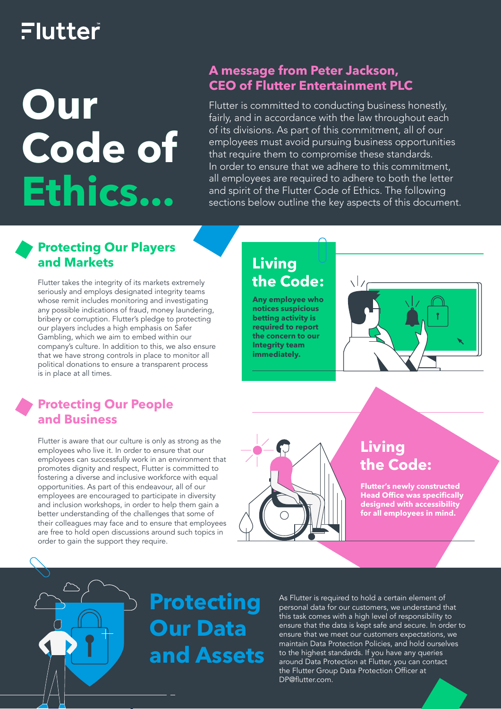## Flutter

# **Our Code of Ethics...**

## **A message from Peter Jackson,**

Flutter is committed to conducting business honestly, fairly, and in accordance with the law throughout each of its divisions. As part of this commitment, all of our employees must avoid pursuing business opportunities that require them to compromise these standards. In order to ensure that we adhere to this commitment, all employees are required to adhere to both the letter and spirit of the Flutter Code of Ethics. The following sections below outline the key aspects of this document.

## **Protecting Our Players and Markets**

Flutter takes the integrity of its markets extremely seriously and employs designated integrity teams whose remit includes monitoring and investigating any possible indications of fraud, money laundering, bribery or corruption. Flutter's pledge to protecting our players includes a high emphasis on Safer Gambling, which we aim to embed within our company's culture. In addition to this, we also ensure that we have strong controls in place to monitor all political donations to ensure a transparent process is in place at all times.

## **Protecting Our People and Business**

Flutter is aware that our culture is only as strong as the employees who live it. In order to ensure that our employees can successfully work in an environment that promotes dignity and respect, Flutter is committed to fostering a diverse and inclusive workforce with equal opportunities. As part of this endeavour, all of our employees are encouraged to participate in diversity and inclusion workshops, in order to help them gain a better understanding of the challenges that some of their colleagues may face and to ensure that employees are free to hold open discussions around such topics in order to gain the support they require.

## **Living the Code:**

**Any employee who notices suspicious betting activity is required to report the concern to our Integrity team immediately.** 





## **Living the Code:**

**Flutter's newly constructed Head Office was specifically designed with accessibility for all employees in mind.**

# **Protecting Our Data and Assets**

As Flutter is required to hold a certain element of personal data for our customers, we understand that this task comes with a high level of responsibility to ensure that the data is kept safe and secure. In order to ensure that we meet our customers expectations, we maintain Data Protection Policies, and hold ourselves to the highest standards. If you have any queries around Data Protection at Flutter, you can contact the Flutter Group Data Protection Officer at DP@flutter.com.